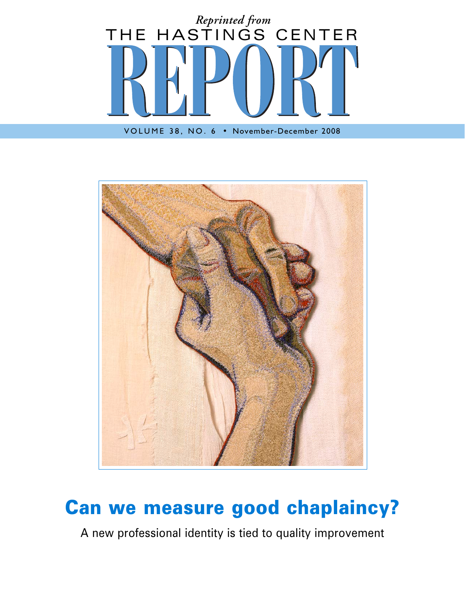

VOLUME 38, NO. 6 • November-December 2008



### Can we measure good chaplaincy?

A new professional identity is tied to quality improvement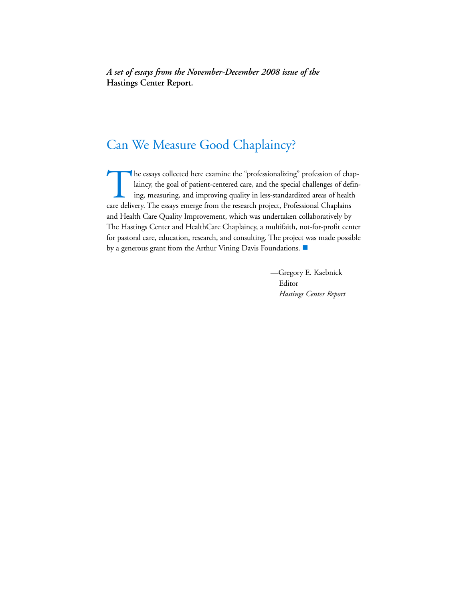*A set of essays from the November-December 2008 issue of the*  **Hastings Center Report***.*

### Can We Measure Good Chaplaincy?

The essays collected here examine the "professionalizing" profession of chap-<br>laincy, the goal of patient-centered care, and the special challenges of defin-<br>ing, measuring, and improving quality in less-standardized areas laincy, the goal of patient-centered care, and the special challenges of defining, measuring, and improving quality in less-standardized areas of health care delivery. The essays emerge from the research project, Professional Chaplains and Health Care Quality Improvement, which was undertaken collaboratively by The Hastings Center and HealthCare Chaplaincy, a multifaith, not-for-profit center for pastoral care, education, research, and consulting. The project was made possible by a generous grant from the Arthur Vining Davis Foundations.

> —Gregory E. Kaebnick Editor *Hastings Center Report*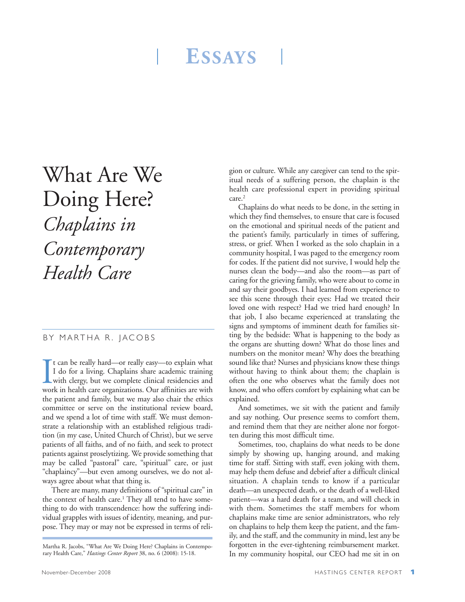### **ESSAYS**

## What Are We Doing Here? *Chaplains in Contemporary Health Care*

#### BY MARTHA R. JACOBS

I t can be really hard—or really easy—to explain what I do for a living. Chaplains share academic training with clergy, but we complete clinical residencies and work in health care organizations. Our affinities are with t can be really hard—or really easy—to explain what I do for a living. Chaplains share academic training with clergy, but we complete clinical residencies and the patient and family, but we may also chair the ethics committee or serve on the institutional review board, and we spend a lot of time with staff. We must demonstrate a relationship with an established religious tradition (in my case, United Church of Christ), but we serve patients of all faiths, and of no faith, and seek to protect patients against proselytizing. We provide something that may be called "pastoral" care, "spiritual" care, or just "chaplaincy"—but even among ourselves, we do not always agree about what that thing is.

There are many, many definitions of "spiritual care" in the context of health care.<sup>1</sup> They all tend to have something to do with transcendence: how the suffering individual grapples with issues of identity, meaning, and purpose. They may or may not be expressed in terms of religion or culture. While any caregiver can tend to the spiritual needs of a suffering person, the chaplain is the health care professional expert in providing spiritual care.2

Chaplains do what needs to be done, in the setting in which they find themselves, to ensure that care is focused on the emotional and spiritual needs of the patient and the patient's family, particularly in times of suffering, stress, or grief. When I worked as the solo chaplain in a community hospital, I was paged to the emergency room for codes. If the patient did not survive, I would help the nurses clean the body—and also the room—as part of caring for the grieving family, who were about to come in and say their goodbyes. I had learned from experience to see this scene through their eyes: Had we treated their loved one with respect? Had we tried hard enough? In that job, I also became experienced at translating the signs and symptoms of imminent death for families sitting by the bedside: What is happening to the body as the organs are shutting down? What do those lines and numbers on the monitor mean? Why does the breathing sound like that? Nurses and physicians know these things without having to think about them; the chaplain is often the one who observes what the family does not know, and who offers comfort by explaining what can be explained.

And sometimes, we sit with the patient and family and say nothing. Our presence seems to comfort them, and remind them that they are neither alone nor forgotten during this most difficult time.

Sometimes, too, chaplains do what needs to be done simply by showing up, hanging around, and making time for staff. Sitting with staff, even joking with them, may help them defuse and debrief after a difficult clinical situation. A chaplain tends to know if a particular death—an unexpected death, or the death of a well-liked patient—was a hard death for a team, and will check in with them. Sometimes the staff members for whom chaplains make time are senior administrators, who rely on chaplains to help them keep the patient, and the family, and the staff, and the community in mind, lest any be forgotten in the ever-tightening reimbursement market. In my community hospital, our CEO had me sit in on

Martha R. Jacobs, "What Are We Doing Here? Chaplains in Contemporary Health Care," *Hastings Center Report* 38, no. 6 (2008): 15-18.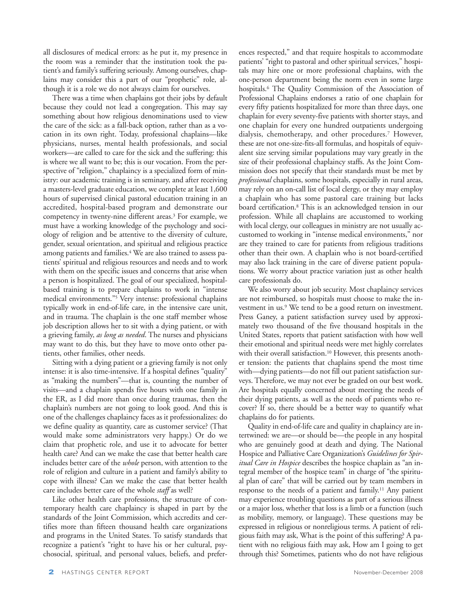all disclosures of medical errors: as he put it, my presence in the room was a reminder that the institution took the patient's and family's suffering seriously. Among ourselves, chaplains may consider this a part of our "prophetic" role, although it is a role we do not always claim for ourselves.

There was a time when chaplains got their jobs by default because they could not lead a congregation. This may say something about how religious denominations used to view the care of the sick: as a fall-back option, rather than as a vocation in its own right. Today, professional chaplains—like physicians, nurses, mental health professionals, and social workers—are called to care for the sick and the suffering: this is where we all want to be; this is our vocation. From the perspective of "religion," chaplaincy is a specialized form of ministry: our academic training is in seminary, and after receiving a masters-level graduate education, we complete at least 1,600 hours of supervised clinical pastoral education training in an accredited, hospital-based program and demonstrate our competency in twenty-nine different areas.3 For example, we must have a working knowledge of the psychology and sociology of religion and be attentive to the diversity of culture, gender, sexual orientation, and spiritual and religious practice among patients and families.<sup>4</sup> We are also trained to assess patients' spiritual and religious resources and needs and to work with them on the specific issues and concerns that arise when a person is hospitalized. The goal of our specialized, hospitalbased training is to prepare chaplains to work in "intense medical environments."5 Very intense: professional chaplains typically work in end-of-life care, in the intensive care unit, and in trauma. The chaplain is the one staff member whose job description allows her to sit with a dying patient, or with a grieving family, *as long as needed*. The nurses and physicians may want to do this, but they have to move onto other patients, other families, other needs.

Sitting with a dying patient or a grieving family is not only intense: it is also time-intensive. If a hospital defines "quality" as "making the numbers"—that is, counting the number of visits—and a chaplain spends five hours with one family in the ER, as I did more than once during traumas, then the chaplain's numbers are not going to look good. And this is one of the challenges chaplaincy faces as it professionalizes: do we define quality as quantity, care as customer service? (That would make some administrators very happy.) Or do we claim that prophetic role, and use it to advocate for better health care? And can we make the case that better health care includes better care of the *whole* person, with attention to the role of religion and culture in a patient and family's ability to cope with illness? Can we make the case that better health care includes better care of the whole *staff* as well?

Like other health care professions, the structure of contemporary health care chaplaincy is shaped in part by the standards of the Joint Commission, which accredits and certifies more than fifteen thousand health care organizations and programs in the United States. To satisfy standards that recognize a patient's "right to have his or her cultural, psychosocial, spiritual, and personal values, beliefs, and preferences respected," and that require hospitals to accommodate patients' "right to pastoral and other spiritual services," hospitals may hire one or more professional chaplains, with the one-person department being the norm even in some large hospitals.<sup>6</sup> The Quality Commission of the Association of Professional Chaplains endorses a ratio of one chaplain for every fifty patients hospitalized for more than three days, one chaplain for every seventy-five patients with shorter stays, and one chaplain for every one hundred outpatients undergoing dialysis, chemotherapy, and other procedures.7 However, these are not one-size-fits-all formulas, and hospitals of equivalent size serving similar populations may vary greatly in the size of their professional chaplaincy staffs. As the Joint Commission does not specify that their standards must be met by *professional* chaplains, some hospitals, especially in rural areas, may rely on an on-call list of local clergy, or they may employ a chaplain who has some pastoral care training but lacks board certification.8 This is an acknowledged tension in our profession. While all chaplains are accustomed to working with local clergy, our colleagues in ministry are not usually accustomed to working in "intense medical environments," nor are they trained to care for patients from religious traditions other than their own. A chaplain who is not board-certified may also lack training in the care of diverse patient populations. We worry about practice variation just as other health care professionals do.

We also worry about job security. Most chaplaincy services are not reimbursed, so hospitals must choose to make the investment in us.9 We tend to be a good return on investment. Press Ganey, a patient satisfaction survey used by approximately two thousand of the five thousand hospitals in the United States, reports that patient satisfaction with how well their emotional and spiritual needs were met highly correlates with their overall satisfaction.<sup>10</sup> However, this presents another tension: the patients that chaplains spend the most time with—dying patients—do not fill out patient satisfaction surveys. Therefore, we may not ever be graded on our best work. Are hospitals equally concerned about meeting the needs of their dying patients, as well as the needs of patients who recover? If so, there should be a better way to quantify what chaplains do for patients.

Quality in end-of-life care and quality in chaplaincy are intertwined: we are—or should be—the people in any hospital who are genuinely good at death and dying. The National Hospice and Palliative Care Organization's *Guidelines for Spiritual Care in Hospice* describes the hospice chaplain as "an integral member of the hospice team" in charge of "the spiritual plan of care" that will be carried out by team members in response to the needs of a patient and family.<sup>11</sup> Any patient may experience troubling questions as part of a serious illness or a major loss, whether that loss is a limb or a function (such as mobility, memory, or language). These questions may be expressed in religious or nonreligious terms. A patient of religious faith may ask, What is the point of this suffering? A patient with no religious faith may ask, How am I going to get through this? Sometimes, patients who do not have religious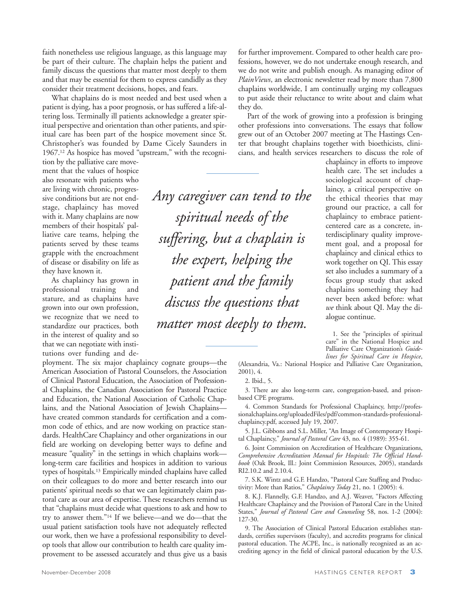faith nonetheless use religious language, as this language may be part of their culture. The chaplain helps the patient and family discuss the questions that matter most deeply to them and that may be essential for them to express candidly as they consider their treatment decisions, hopes, and fears.

What chaplains do is most needed and best used when a patient is dying, has a poor prognosis, or has suffered a life-altering loss. Terminally ill patients acknowledge a greater spiritual perspective and orientation than other patients, and spiritual care has been part of the hospice movement since St. Christopher's was founded by Dame Cicely Saunders in 1967.12 As hospice has moved "upstream," with the recogni-

tion by the palliative care movement that the values of hospice also resonate with patients who are living with chronic, progressive conditions but are not endstage, chaplaincy has moved with it. Many chaplains are now members of their hospitals' palliative care teams, helping the patients served by these teams grapple with the encroachment of disease or disability on life as they have known it.

As chaplaincy has grown in professional training and stature, and as chaplains have grown into our own profession, we recognize that we need to standardize our practices, both in the interest of quality and so that we can negotiate with institutions over funding and de-

ployment. The six major chaplaincy cognate groups—the American Association of Pastoral Counselors, the Association of Clinical Pastoral Education, the Association of Professional Chaplains, the Canadian Association for Pastoral Practice and Education, the National Association of Catholic Chaplains, and the National Association of Jewish Chaplains have created common standards for certification and a common code of ethics, and are now working on practice standards. HealthCare Chaplaincy and other organizations in our field are working on developing better ways to define and measure "quality" in the settings in which chaplains work long-term care facilities and hospices in addition to various types of hospitals.13 Empirically minded chaplains have called on their colleagues to do more and better research into our patients' spiritual needs so that we can legitimately claim pastoral care as our area of expertise. These researchers remind us that "chaplains must decide what questions to ask and how to try to answer them."14 If we believe—and we do—that the usual patient satisfaction tools have not adequately reflected our work, then we have a professional responsibility to develop tools that allow our contribution to health care quality improvement to be assessed accurately and thus give us a basis

for further improvement. Compared to other health care professions, however, we do not undertake enough research, and we do not write and publish enough. As managing editor of *PlainViews*, an electronic newsletter read by more than 7,800 chaplains worldwide, I am continually urging my colleagues to put aside their reluctance to write about and claim what they do.

Part of the work of growing into a profession is bringing other professions into conversations. The essays that follow grew out of an October 2007 meeting at The Hastings Center that brought chaplains together with bioethicists, clinicians, and health services researchers to discuss the role of

*Any caregiver can tend to the spiritual needs of the suffering, but a chaplain is the expert, helping the patient and the family discuss the questions that matter most deeply to them.*

chaplaincy in efforts to improve health care. The set includes a sociological account of chaplaincy, a critical perspective on the ethical theories that may ground our practice, a call for chaplaincy to embrace patientcentered care as a concrete, interdisciplinary quality improvement goal, and a proposal for chaplaincy and clinical ethics to work together on QI. This essay set also includes a summary of a focus group study that asked chaplains something they had never been asked before: what *we* think about QI. May the dialogue continue.

1. See the "principles of spiritual care" in the National Hospice and Palliative Care Organization's *Guidelines for Spiritual Care in Hospice*,

(Alexandria, Va.: National Hospice and Palliative Care Organization, 2001), 4.

3. There are also long-term care, congregation-based, and prisonbased CPE programs.

4. Common Standards for Professional Chaplaincy, http://professionalchaplains.org/uploadedFiles/pdf/common-standards-professionalchaplaincy.pdf, accessed July 19, 2007.

5. J.L. Gibbons and S.L. Miller, "An Image of Contemporary Hospital Chaplaincy," *Journal of Pastoral Care* 43, no. 4 (1989): 355-61.

6. Joint Commission on Accreditation of Healthcare Organizations, *Comprehensive Accreditation Manual for Hospitals: The Official Handbook* (Oak Brook, Ill.: Joint Commission Resources, 2005), standards RI2.10.2 and 2.10.4.

7. S.K. Wintz and G.F. Handzo, "Pastoral Care Staffing and Productivity: More than Ratios," *Chaplaincy Today* 21, no. 1 (2005): 4.

8. K.J. Flannelly, G.F. Handzo, and A.J. Weaver, "Factors Affecting Healthcare Chaplaincy and the Provision of Pastoral Care in the United States," *Journal of Pastoral Care and Counseling* 58, nos. 1-2 (2004): 127-30.

9. The Association of Clinical Pastoral Education establishes standards, certifies supervisors (faculty), and accredits programs for clinical pastoral education. The ACPE, Inc., is nationally recognized as an accrediting agency in the field of clinical pastoral education by the U.S.

<sup>2.</sup> Ibid., 5.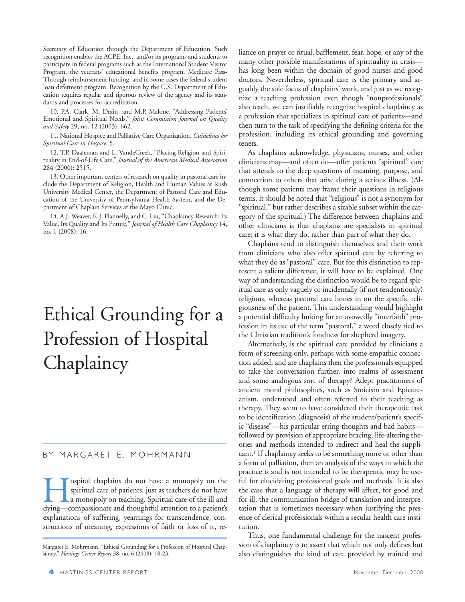Secretary of Education through the Department of Education. Such recognition enables the ACPE, Inc., and/or its programs and students to participate in federal programs such as the International Student Visitor Program, the veterans' educational benefits program, Medicare Pass-Through reimbursement funding, and in some cases the federal student loan deferment program. Recognition by the U.S. Department of Education requires regular and rigorous review of the agency and its standards and processes for accreditation.

10. P.A. Clark, M. Drain, and M.P. Malone, "Addressing Patients' Emotional and Spiritual Needs," *Joint Commission Journal on Quality and Safety* 29, no. 12 (2003): 662.

11. National Hospice and Palliative Care Organization, *Guidelines for Spiritual Care in Hospice*, 5.

12. T.P. Daaleman and L. VandeCreek, "Placing Religion and Spirituality in End-of-Life Care," *Journal of the American Medical Association* 284 (2000): 2515.

13. Other important centers of research on quality in pastoral care include the Department of Religion, Health and Human Values at Rush University Medical Center, the Department of Pastoral Care and Education of the University of Pennsylvania Health System, and the Department of Chaplain Services at the Mayo Clinic.

14. A.J. Weaver, K.J. Flannelly, and C. Liu, "Chaplaincy Research: Its Value, Its Quality and Its Future," *Journal of Health Care Chaplaincy* 14, no. 1 (2008): 16.

### Ethical Grounding for a Profession of Hospital **Chaplaincy**

#### BY MARGARET E. MOHRMANN

spiral chaplains do not have a monopoly on the spiritual care of patients, just as teachers do not have a monopoly on teaching. Spiritual care of the ill and dying—compassionate and thoughtful attention to a patient's spiritual care of patients, just as teachers do not have a monopoly on teaching. Spiritual care of the ill and dying—compassionate and thoughtful attention to a patient's explanations of suffering, yearnings for transcendence, constructions of meaning, expressions of faith or loss of it, reliance on prayer or ritual, bafflement, fear, hope, or any of the many other possible manifestations of spirituality in crisis has long been within the domain of good nurses and good doctors. Nevertheless, spiritual care is the primary and arguably the sole focus of chaplains' work, and just as we recognize a teaching profession even though "nonprofessionals" also teach, we can justifiably recognize hospital chaplaincy as a profession that specializes in spiritual care of patients—and then turn to the task of specifying the defining criteria for the profession, including its ethical grounding and governing tenets.

As chaplains acknowledge, physicians, nurses, and other clinicians may—and often do—offer patients "spiritual" care that attends to the deep questions of meaning, purpose, and connection to others that arise during a serious illness. (Although some patients may frame their questions in religious terms, it should be noted that "religious" is not a synonym for "spiritual," but rather describes a sizable subset within the category of the spiritual.) The difference between chaplains and other clinicians is that chaplains are specialists in spiritual care; it is what they do, rather than part of what they do.

Chaplains tend to distinguish themselves and their work from clinicians who also offer spiritual care by referring to what they do as "pastoral" care. But for this distinction to represent a salient difference, it will have to be explained. One way of understanding the distinction would be to regard spiritual care as only vaguely or incidentally (if not tendentiously) religious, whereas pastoral care hones in on the specific religiousness of the patient. This understanding would highlight a potential difficulty lurking for an avowedly "interfaith" profession in its use of the term "pastoral," a word closely tied to the Christian tradition's fondness for shepherd imagery.

Alternatively, is the spiritual care provided by clinicians a form of screening only, perhaps with some empathic connection added, and are chaplains then the professionals equipped to take the conversation further, into realms of assessment and some analogous sort of therapy? Adept practitioners of ancient moral philosophies, such as Stoicism and Epicureanism, understood and often referred to their teaching as therapy. They seem to have considered their therapeutic task to be identification (diagnosis) of the student/patient's specific "disease"—his particular erring thoughts and bad habits followed by provision of appropriate bracing, life-altering theories and methods intended to redirect and heal the supplicant.1 If chaplaincy seeks to be something more or other than a form of palliation, then an analysis of the ways in which the practice is and is not intended to be therapeutic may be useful for elucidating professional goals and methods. It is also the case that a language of therapy will affect, for good and for ill, the communication bridge of translation and interpretation that is sometimes necessary when justifying the presence of clerical professionals within a secular health care institution.

Thus, one fundamental challenge for the nascent profession of chaplaincy is to assert that which not only defines but also distinguishes the kind of care provided by trained and

Margaret E. Mohrmann, "Ethical Grounding for a Profession of Hospital Chaplaincy," *Hastings Center Report* 38, no. 6 (2008): 18-23.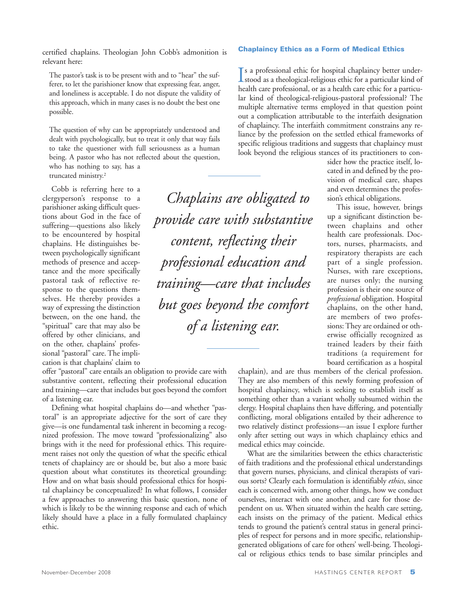certified chaplains. Theologian John Cobb's admonition is relevant here:

The pastor's task is to be present with and to "hear" the sufferer, to let the parishioner know that expressing fear, anger, and loneliness is acceptable. I do not dispute the validity of this approach, which in many cases is no doubt the best one possible.

The question of why can be appropriately understood and dealt with psychologically, but to treat it only that way fails to take the questioner with full seriousness as a human being. A pastor who has not reflected about the question, who has nothing to say, has a truncated ministry.2

Cobb is referring here to a clergyperson's response to a parishioner asking difficult questions about God in the face of suffering—questions also likely to be encountered by hospital chaplains. He distinguishes between psychologically significant methods of presence and acceptance and the more specifically pastoral task of reflective response to the questions themselves. He thereby provides a way of expressing the distinction between, on the one hand, the "spiritual" care that may also be offered by other clinicians, and on the other, chaplains' professional "pastoral" care. The implication is that chaplains' claim to

offer "pastoral" care entails an obligation to provide care with substantive content, reflecting their professional education and training—care that includes but goes beyond the comfort of a listening ear.

Defining what hospital chaplains do—and whether "pastoral" is an appropriate adjective for the sort of care they give—is one fundamental task inherent in becoming a recognized profession. The move toward "professionalizing" also brings with it the need for professional ethics. This requirement raises not only the question of what the specific ethical tenets of chaplaincy are or should be, but also a more basic question about what constitutes its theoretical grounding: How and on what basis should professional ethics for hospital chaplaincy be conceptualized? In what follows, I consider a few approaches to answering this basic question, none of which is likely to be the winning response and each of which likely should have a place in a fully formulated chaplaincy ethic.

Chaplaincy Ethics as a Form of Medical Ethics

Is a professional ethic for hospital chaplaincy better under-<br>stood as a theological-religious ethic for a particular kind of s a professional ethic for hospital chaplaincy better underhealth care professional, or as a health care ethic for a particular kind of theological-religious-pastoral professional? The multiple alternative terms employed in that question point out a complication attributable to the interfaith designation of chaplaincy. The interfaith commitment constrains any reliance by the profession on the settled ethical frameworks of specific religious traditions and suggests that chaplaincy must look beyond the religious stances of its practitioners to con-

*Chaplains are obligated to*

*provide care with substantive*

*content, reflecting their* 

*professional education and*

*training—care that includes*

*but goes beyond the comfort*

*of a listening ear.*

sider how the practice itself, located in and defined by the provision of medical care, shapes and even determines the profession's ethical obligations.

This issue, however, brings up a significant distinction between chaplains and other health care professionals. Doctors, nurses, pharmacists, and respiratory therapists are each part of a single profession. Nurses, with rare exceptions, are nurses only; the nursing profession is their one source of *professional* obligation. Hospital chaplains, on the other hand, are members of two professions: They are ordained or otherwise officially recognized as trained leaders by their faith traditions (a requirement for board certification as a hospital

chaplain), and are thus members of the clerical profession. They are also members of this newly forming profession of hospital chaplaincy, which is seeking to establish itself as something other than a variant wholly subsumed within the clergy. Hospital chaplains then have differing, and potentially conflicting, moral obligations entailed by their adherence to two relatively distinct professions—an issue I explore further only after setting out ways in which chaplaincy ethics and medical ethics may coincide.

What are the similarities between the ethics characteristic of faith traditions and the professional ethical understandings that govern nurses, physicians, and clinical therapists of various sorts? Clearly each formulation is identifiably *ethics*, since each is concerned with, among other things, how we conduct ourselves, interact with one another, and care for those dependent on us. When situated within the health care setting, each insists on the primacy of the patient. Medical ethics tends to ground the patient's central status in general principles of respect for persons and in more specific, relationshipgenerated obligations of care for others' well-being. Theological or religious ethics tends to base similar principles and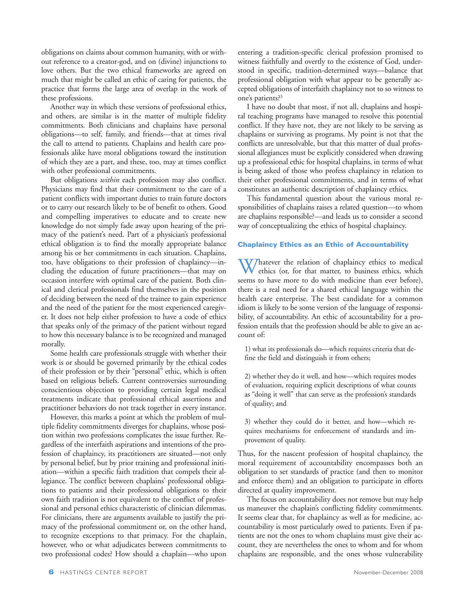obligations on claims about common humanity, with or without reference to a creator-god, and on (divine) injunctions to love others. But the two ethical frameworks are agreed on much that might be called an ethic of caring for patients, the practice that forms the large area of overlap in the work of these professions.

Another way in which these versions of professional ethics, and others, are similar is in the matter of multiple fidelity commitments. Both clinicians and chaplains have personal obligations—to self, family, and friends—that at times rival the call to attend to patients. Chaplains and health care professionals alike have moral obligations toward the institution of which they are a part, and these, too, may at times conflict with other professional commitments.

But obligations *within* each profession may also conflict. Physicians may find that their commitment to the care of a patient conflicts with important duties to train future doctors or to carry out research likely to be of benefit to others. Good and compelling imperatives to educate and to create new knowledge do not simply fade away upon hearing of the primacy of the patient's need. Part of a physician's professional ethical obligation is to find the morally appropriate balance among his or her commitments in each situation. Chaplains, too, have obligations to their profession of chaplaincy—including the education of future practitioners—that may on occasion interfere with optimal care of the patient. Both clinical and clerical professionals find themselves in the position of deciding between the need of the trainee to gain experience and the need of the patient for the most experienced caregiver. It does not help either profession to have a code of ethics that speaks only of the primacy of the patient without regard to how this necessary balance is to be recognized and managed morally.

Some health care professionals struggle with whether their work is or should be governed primarily by the ethical codes of their profession or by their "personal" ethic, which is often based on religious beliefs. Current controversies surrounding conscientious objection to providing certain legal medical treatments indicate that professional ethical assertions and practitioner behaviors do not track together in every instance.

However, this marks a point at which the problem of multiple fidelity commitments diverges for chaplains, whose position within two professions complicates the issue further. Regardless of the interfaith aspirations and intentions of the profession of chaplaincy, its practitioners are situated—not only by personal belief, but by prior training and professional initiation—within a specific faith tradition that compels their allegiance. The conflict between chaplains' professional obligations to patients and their professional obligations to their own faith tradition is not equivalent to the conflict of professional and personal ethics characteristic of clinician dilemmas. For clinicians, there are arguments available to justify the primacy of the professional commitment or, on the other hand, to recognize exceptions to that primacy. For the chaplain, however, who or what adjudicates between commitments to two professional codes? How should a chaplain—who upon

entering a tradition-specific clerical profession promised to witness faithfully and overtly to the existence of God, understood in specific, tradition-determined ways—balance that professional obligation with what appear to be generally accepted obligations of interfaith chaplaincy not to so witness to one's patients?3

I have no doubt that most, if not all, chaplains and hospital teaching programs have managed to resolve this potential conflict. If they have not, they are not likely to be serving as chaplains or surviving as programs. My point is not that the conflicts are unresolvable, but that this matter of dual professional allegiances must be explicitly considered when drawing up a professional ethic for hospital chaplains, in terms of what is being asked of those who profess chaplaincy in relation to their other professional commitments, and in terms of what constitutes an authentic description of chaplaincy ethics.

This fundamental question about the various moral responsibilities of chaplains raises a related question—to whom are chaplains responsible?—and leads us to consider a second way of conceptualizing the ethics of hospital chaplaincy.

#### Chaplaincy Ethics as an Ethic of Accountability

Whatever the relation of chaplaincy ethics to medical ethics (or, for that matter, to business ethics, which seems to have more to do with medicine than ever before), there is a real need for a shared ethical language within the health care enterprise. The best candidate for a common idiom is likely to be some version of the language of responsibility, of accountability. An ethic of accountability for a profession entails that the profession should be able to give an account of:

1) what its professionals do—which requires criteria that define the field and distinguish it from others;

2) whether they do it well, and how—which requires modes of evaluation, requiring explicit descriptions of what counts as "doing it well" that can serve as the profession's standards of quality; and

3) whether they could do it better, and how—which requires mechanisms for enforcement of standards and improvement of quality.

Thus, for the nascent profession of hospital chaplaincy, the moral requirement of accountability encompasses both an obligation to set standards of practice (and then to monitor and enforce them) and an obligation to participate in efforts directed at quality improvement.

The focus on accountability does not remove but may help us maneuver the chaplain's conflicting fidelity commitments. It seems clear that, for chaplaincy as well as for medicine, accountability is most particularly owed to patients. Even if patients are not the ones to whom chaplains must give their account, they are nevertheless the ones to whom and for whom chaplains are responsible, and the ones whose vulnerability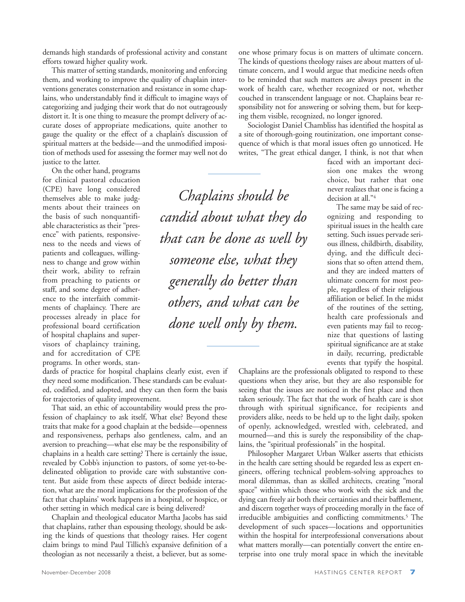demands high standards of professional activity and constant efforts toward higher quality work.

This matter of setting standards, monitoring and enforcing them, and working to improve the quality of chaplain interventions generates consternation and resistance in some chaplains, who understandably find it difficult to imagine ways of categorizing and judging their work that do not outrageously distort it. It is one thing to measure the prompt delivery of accurate doses of appropriate medications, quite another to gauge the quality or the effect of a chaplain's discussion of spiritual matters at the bedside—and the unmodified imposition of methods used for assessing the former may well not do justice to the latter.

On the other hand, programs for clinical pastoral education (CPE) have long considered themselves able to make judgments about their trainees on the basis of such nonquantifiable characteristics as their "presence" with patients, responsiveness to the needs and views of patients and colleagues, willingness to change and grow within their work, ability to refrain from preaching to patients or staff, and some degree of adherence to the interfaith commitments of chaplaincy. There are processes already in place for professional board certification of hospital chaplains and supervisors of chaplaincy training, and for accreditation of CPE programs. In other words, stan-

dards of practice for hospital chaplains clearly exist, even if they need some modification. These standards can be evaluated, codified, and adopted, and they can then form the basis for trajectories of quality improvement.

That said, an ethic of accountability would press the profession of chaplaincy to ask itself, What else? Beyond these traits that make for a good chaplain at the bedside—openness and responsiveness, perhaps also gentleness, calm, and an aversion to preaching—what else may be the responsibility of chaplains in a health care setting? There is certainly the issue, revealed by Cobb's injunction to pastors, of some yet-to-bedelineated obligation to provide care with substantive content. But aside from these aspects of direct bedside interaction, what are the moral implications for the profession of the fact that chaplains' work happens in a hospital, or hospice, or other setting in which medical care is being delivered?

Chaplain and theological educator Martha Jacobs has said that chaplains, rather than espousing theology, should be asking the kinds of questions that theology raises. Her cogent claim brings to mind Paul Tillich's expansive definition of a theologian as not necessarily a theist, a believer, but as some-

*Chaplains should be candid about what they do that can be done as well by someone else, what they generally do better than others, and what can be done well only by them.*

one whose primary focus is on matters of ultimate concern. The kinds of questions theology raises are about matters of ultimate concern, and I would argue that medicine needs often to be reminded that such matters are always present in the work of health care, whether recognized or not, whether couched in transcendent language or not. Chaplains bear responsibility not for answering or solving them, but for keeping them visible, recognized, no longer ignored.

Sociologist Daniel Chambliss has identified the hospital as a site of thorough-going routinization, one important consequence of which is that moral issues often go unnoticed. He writes, "The great ethical danger, I think, is not that when

> faced with an important decision one makes the wrong choice, but rather that one never realizes that one is facing a decision at all."4

> The same may be said of recognizing and responding to spiritual issues in the health care setting. Such issues pervade serious illness, childbirth, disability, dying, and the difficult decisions that so often attend them, and they are indeed matters of ultimate concern for most people, regardless of their religious affiliation or belief. In the midst of the routines of the setting, health care professionals and even patients may fail to recognize that questions of lasting spiritual significance are at stake in daily, recurring, predictable events that typify the hospital.

Chaplains are the professionals obligated to respond to these questions when they arise, but they are also responsible for seeing that the issues are noticed in the first place and then taken seriously. The fact that the work of health care is shot through with spiritual significance, for recipients and providers alike, needs to be held up to the light daily, spoken of openly, acknowledged, wrestled with, celebrated, and mourned—and this is surely the responsibility of the chaplains, the "spiritual professionals" in the hospital.

Philosopher Margaret Urban Walker asserts that ethicists in the health care setting should be regarded less as expert engineers, offering technical problem-solving approaches to moral dilemmas, than as skilled architects, creating "moral space" within which those who work with the sick and the dying can freely air both their certainties and their bafflement, and discern together ways of proceeding morally in the face of irreducible ambiguities and conflicting commitments.<sup>5</sup> The development of such spaces—locations and opportunities within the hospital for interprofessional conversations about what matters morally—can potentially convert the entire enterprise into one truly moral space in which the inevitable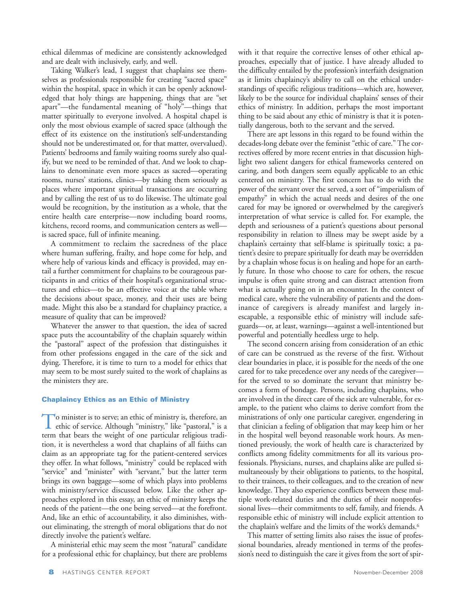ethical dilemmas of medicine are consistently acknowledged and are dealt with inclusively, early, and well.

Taking Walker's lead, I suggest that chaplains see themselves as professionals responsible for creating "sacred space" within the hospital, space in which it can be openly acknowledged that holy things are happening, things that are "set apart"—the fundamental meaning of "holy"—things that matter spiritually to everyone involved. A hospital chapel is only the most obvious example of sacred space (although the effect of its existence on the institution's self-understanding should not be underestimated or, for that matter, overvalued). Patients' bedrooms and family waiting rooms surely also qualify, but we need to be reminded of that. And we look to chaplains to denominate even more spaces as sacred—operating rooms, nurses' stations, clinics—by taking them seriously as places where important spiritual transactions are occurring and by calling the rest of us to do likewise. The ultimate goal would be recognition, by the institution as a whole, that the entire health care enterprise—now including board rooms, kitchens, record rooms, and communication centers as well is sacred space, full of infinite meaning.

A commitment to reclaim the sacredness of the place where human suffering, frailty, and hope come for help, and where help of various kinds and efficacy is provided, may entail a further commitment for chaplains to be courageous participants in and critics of their hospital's organizational structures and ethics—to be an effective voice at the table where the decisions about space, money, and their uses are being made. Might this also be a standard for chaplaincy practice, a measure of quality that can be improved?

Whatever the answer to that question, the idea of sacred space puts the accountability of the chaplain squarely within the "pastoral" aspect of the profession that distinguishes it from other professions engaged in the care of the sick and dying. Therefore, it is time to turn to a model for ethics that may seem to be most surely suited to the work of chaplains as the ministers they are.

#### Chaplaincy Ethics as an Ethic of Ministry

To minister is to serve; an ethic of ministry is, therefore, an ethic of service. Although "ministry," like "pastoral," is a term that bears the weight of one particular religious tradition, it is nevertheless a word that chaplains of all faiths can claim as an appropriate tag for the patient-centered services they offer. In what follows, "ministry" could be replaced with "service" and "minister" with "servant," but the latter term brings its own baggage—some of which plays into problems with ministry/service discussed below. Like the other approaches explored in this essay, an ethic of ministry keeps the needs of the patient—the one being served—at the forefront. And, like an ethic of accountability, it also diminishes, without eliminating, the strength of moral obligations that do not directly involve the patient's welfare.

A ministerial ethic may seem the most "natural" candidate for a professional ethic for chaplaincy, but there are problems

with it that require the corrective lenses of other ethical approaches, especially that of justice. I have already alluded to the difficulty entailed by the profession's interfaith designation as it limits chaplaincy's ability to call on the ethical understandings of specific religious traditions—which are, however, likely to be the source for individual chaplains' senses of their ethics of ministry. In addition, perhaps the most important thing to be said about any ethic of ministry is that it is potentially dangerous, both to the servant and the served.

There are apt lessons in this regard to be found within the decades-long debate over the feminist "ethic of care." The correctives offered by more recent entries in that discussion highlight two salient dangers for ethical frameworks centered on caring, and both dangers seem equally applicable to an ethic centered on ministry. The first concern has to do with the power of the servant over the served, a sort of "imperialism of empathy" in which the actual needs and desires of the one cared for may be ignored or overwhelmed by the caregiver's interpretation of what service is called for. For example, the depth and seriousness of a patient's questions about personal responsibility in relation to illness may be swept aside by a chaplain's certainty that self-blame is spiritually toxic; a patient's desire to prepare spiritually for death may be overridden by a chaplain whose focus is on healing and hope for an earthly future. In those who choose to care for others, the rescue impulse is often quite strong and can distract attention from what is actually going on in an encounter. In the context of medical care, where the vulnerability of patients and the dominance of caregivers is already manifest and largely inescapable, a responsible ethic of ministry will include safeguards—or, at least, warnings—against a well-intentioned but powerful and potentially heedless urge to help.

The second concern arising from consideration of an ethic of care can be construed as the reverse of the first. Without clear boundaries in place, it is possible for the needs of the one cared for to take precedence over any needs of the caregiver for the served to so dominate the servant that ministry becomes a form of bondage. Persons, including chaplains, who are involved in the direct care of the sick are vulnerable, for example, to the patient who claims to derive comfort from the ministrations of only one particular caregiver, engendering in that clinician a feeling of obligation that may keep him or her in the hospital well beyond reasonable work hours. As mentioned previously, the work of health care is characterized by conflicts among fidelity commitments for all its various professionals. Physicians, nurses, and chaplains alike are pulled simultaneously by their obligations to patients, to the hospital, to their trainees, to their colleagues, and to the creation of new knowledge. They also experience conflicts between these multiple work-related duties and the duties of their nonprofessional lives—their commitments to self, family, and friends. A responsible ethic of ministry will include explicit attention to the chaplain's welfare and the limits of the work's demands.<sup>6</sup>

This matter of setting limits also raises the issue of professional boundaries, already mentioned in terms of the profession's need to distinguish the care it gives from the sort of spir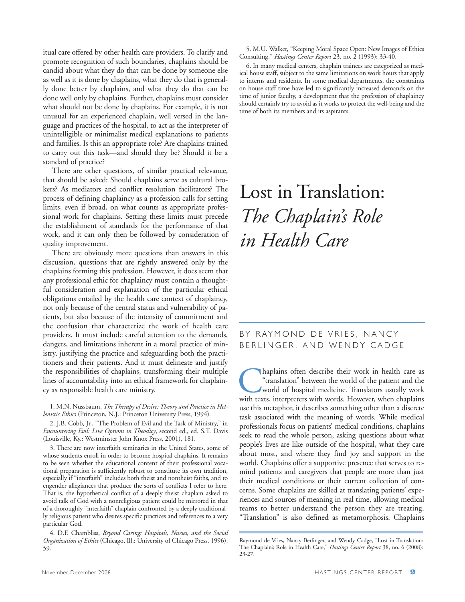itual care offered by other health care providers. To clarify and promote recognition of such boundaries, chaplains should be candid about what they do that can be done by someone else as well as it is done by chaplains, what they do that is generally done better by chaplains, and what they do that can be done well only by chaplains. Further, chaplains must consider what should not be done by chaplains. For example, it is not unusual for an experienced chaplain, well versed in the language and practices of the hospital, to act as the interpreter of unintelligible or minimalist medical explanations to patients and families. Is this an appropriate role? Are chaplains trained to carry out this task—and should they be? Should it be a standard of practice?

There are other questions, of similar practical relevance, that should be asked: Should chaplains serve as cultural brokers? As mediators and conflict resolution facilitators? The process of defining chaplaincy as a profession calls for setting limits, even if broad, on what counts as appropriate professional work for chaplains. Setting these limits must precede the establishment of standards for the performance of that work, and it can only then be followed by consideration of quality improvement.

There are obviously more questions than answers in this discussion, questions that are rightly answered only by the chaplains forming this profession. However, it does seem that any professional ethic for chaplaincy must contain a thoughtful consideration and explanation of the particular ethical obligations entailed by the health care context of chaplaincy, not only because of the central status and vulnerability of patients, but also because of the intensity of commitment and the confusion that characterize the work of health care providers. It must include careful attention to the demands, dangers, and limitations inherent in a moral practice of ministry, justifying the practice and safeguarding both the practitioners and their patients. And it must delineate and justify the responsibilities of chaplains, transforming their multiple lines of accountability into an ethical framework for chaplaincy as responsible health care ministry.

1. M.N. Nussbaum, *The Therapy of Desire: Theory and Practice in Hellenistic Ethics* (Princeton, N.J.: Princeton University Press, 1994).

2. J.B. Cobb, Jr., "The Problem of Evil and the Task of Ministry," in *Encountering Evil: Live Options in Theodicy*, second ed., ed. S.T. Davis (Louisville, Ky.: Westminster John Knox Press, 2001), 181.

3. There are now interfaith seminaries in the United States, some of whose students enroll in order to become hospital chaplains. It remains to be seen whether the educational content of their professional vocational preparation is sufficiently robust to constitute its own tradition, especially if "interfaith" includes both theist and nontheist faiths, and to engender allegiances that produce the sorts of conflicts I refer to here. That is, the hypothetical conflict of a deeply theist chaplain asked to avoid talk of God with a nonreligious patient could be mirrored in that of a thoroughly "interfaith" chaplain confronted by a deeply traditionally religious patient who desires specific practices and references to a very particular God.

4. D.F. Chambliss, *Beyond Caring: Hospitals, Nurses, and the Social Organization of Ethics* (Chicago, Ill.: University of Chicago Press, 1996), 59.

5. M.U. Walker, "Keeping Moral Space Open: New Images of Ethics Consulting," *Hastings Center Report* 23, no. 2 (1993): 33-40.

6. In many medical centers, chaplain trainees are categorized as medical house staff, subject to the same limitations on work hours that apply to interns and residents. In some medical departments, the constraints on house staff time have led to significantly increased demands on the time of junior faculty, a development that the profession of chaplaincy should certainly try to avoid as it works to protect the well-being and the time of both its members and its aspirants.

## Lost in Translation: *The Chaplain's Role in Health Care*

#### BY RAYMOND DE VRIES, NANCY BERLINGER, AND WENDY CADGE

haplains often describe their work in health care as "translation" between the world of the patient and the world of hospital medicine. Translators usually work with texts, interpreters with words. However, when chaplains use this metaphor, it describes something other than a discrete task associated with the meaning of words. While medical professionals focus on patients' medical conditions, chaplains seek to read the whole person, asking questions about what people's lives are like outside of the hospital, what they care about most, and where they find joy and support in the world. Chaplains offer a supportive presence that serves to remind patients and caregivers that people are more than just their medical conditions or their current collection of concerns. Some chaplains are skilled at translating patients' experiences and sources of meaning in real time, allowing medical teams to better understand the person they are treating. "Translation" is also defined as metamorphosis. Chaplains

Raymond de Vries, Nancy Berlinger, and Wendy Cadge, "Lost in Translation: The Chaplain's Role in Health Care," *Hastings Center Report* 38, no. 6 (2008): 23-27.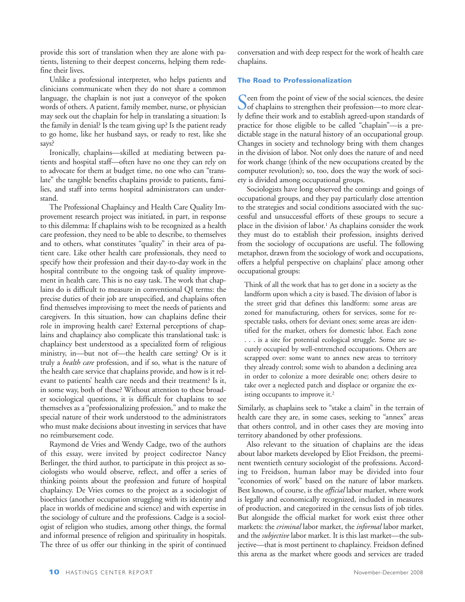provide this sort of translation when they are alone with patients, listening to their deepest concerns, helping them redefine their lives.

Unlike a professional interpreter, who helps patients and clinicians communicate when they do not share a common language, the chaplain is not just a conveyor of the spoken words of others. A patient, family member, nurse, or physician may seek out the chaplain for help in translating a situation: Is the family in denial? Is the team giving up? Is the patient ready to go home, like her husband says, or ready to rest, like she says?

Ironically, chaplains—skilled at mediating between patients and hospital staff—often have no one they can rely on to advocate for them at budget time, no one who can "translate" the tangible benefits chaplains provide to patients, families, and staff into terms hospital administrators can understand.

The Professional Chaplaincy and Health Care Quality Improvement research project was initiated, in part, in response to this dilemma: If chaplains wish to be recognized as a health care profession, they need to be able to describe, to themselves and to others, what constitutes "quality" in their area of patient care. Like other health care professionals, they need to specify how their profession and their day-to-day work in the hospital contribute to the ongoing task of quality improvement in health care. This is no easy task. The work that chaplains do is difficult to measure in conventional QI terms: the precise duties of their job are unspecified, and chaplains often find themselves improvising to meet the needs of patients and caregivers. In this situation, how can chaplains define their role in improving health care? External perceptions of chaplains and chaplaincy also complicate this translational task: is chaplaincy best understood as a specialized form of religious ministry, in—but not of—the health care setting? Or is it truly a *health care* profession, and if so, what is the nature of the health care service that chaplains provide, and how is it relevant to patients' health care needs and their treatment? Is it, in some way, both of these? Without attention to these broader sociological questions, it is difficult for chaplains to see themselves as a "professionalizing profession," and to make the special nature of their work understood to the administrators who must make decisions about investing in services that have no reimbursement code.

Raymond de Vries and Wendy Cadge, two of the authors of this essay, were invited by project codirector Nancy Berlinger, the third author, to participate in this project as sociologists who would observe, reflect, and offer a series of thinking points about the profession and future of hospital chaplaincy. De Vries comes to the project as a sociologist of bioethics (another occupation struggling with its identity and place in worlds of medicine and science) and with expertise in the sociology of culture and the professions. Cadge is a sociologist of religion who studies, among other things, the formal and informal presence of religion and spirituality in hospitals. The three of us offer our thinking in the spirit of continued

conversation and with deep respect for the work of health care chaplains.

#### The Road to Professionalization

Seen from the point of view of the social sciences, the desire<br>of chaplains to strengthen their profession—to more clearly define their work and to establish agreed-upon standards of practice for those eligible to be called "chaplain"—is a predictable stage in the natural history of an occupational group. Changes in society and technology bring with them changes in the division of labor. Not only does the nature of and need for work change (think of the new occupations created by the computer revolution); so, too, does the way the work of society is divided among occupational groups.

Sociologists have long observed the comings and goings of occupational groups, and they pay particularly close attention to the strategies and social conditions associated with the successful and unsuccessful efforts of these groups to secure a place in the division of labor.<sup>1</sup> As chaplains consider the work they must do to establish their profession, insights derived from the sociology of occupations are useful. The following metaphor, drawn from the sociology of work and occupations, offers a helpful perspective on chaplains' place among other occupational groups:

Think of all the work that has to get done in a society as the landform upon which a city is based. The division of labor is the street grid that defines this landform: some areas are zoned for manufacturing, others for services, some for respectable tasks, others for deviant ones; some areas are identified for the market, others for domestic labor. Each zone . . . is a site for potential ecological struggle. Some are securely occupied by well-entrenched occupations. Others are scrapped over: some want to annex new areas to territory they already control; some wish to abandon a declining area in order to colonize a more desirable one; others desire to take over a neglected patch and displace or organize the existing occupants to improve it.2

Similarly, as chaplains seek to "stake a claim" in the terrain of health care they are, in some cases, seeking to "annex" areas that others control, and in other cases they are moving into territory abandoned by other professions.

Also relevant to the situation of chaplains are the ideas about labor markets developed by Eliot Freidson, the preeminent twentieth century sociologist of the professions. According to Freidson, human labor may be divided into four "economies of work" based on the nature of labor markets. Best known, of course, is the *official* labor market, where work is legally and economically recognized, included in measures of production, and categorized in the census lists of job titles. But alongside the official market for work exist three other markets: the *criminal* labor market, the *informal* labor market, and the *subjective* labor market. It is this last market—the subjective—that is most pertinent to chaplaincy. Freidson defined this arena as the market where goods and services are traded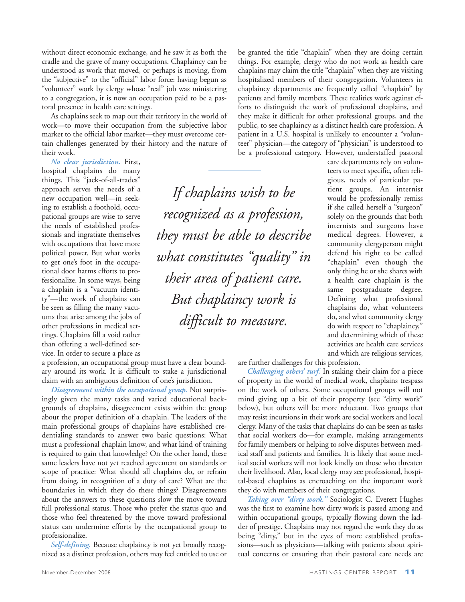without direct economic exchange, and he saw it as both the cradle and the grave of many occupations. Chaplaincy can be understood as work that moved, or perhaps is moving, from the "subjective" to the "official" labor force: having begun as "volunteer" work by clergy whose "real" job was ministering to a congregation, it is now an occupation paid to be a pastoral presence in health care settings.

As chaplains seek to map out their territory in the world of work—to move their occupation from the subjective labor market to the official labor market—they must overcome certain challenges generated by their history and the nature of their work.

*No clear jurisdiction.* First, hospital chaplains do many things. This "jack-of-all-trades" approach serves the needs of a new occupation well—in seeking to establish a foothold, occupational groups are wise to serve the needs of established professionals and ingratiate themselves with occupations that have more political power. But what works to get one's foot in the occupational door harms efforts to professionalize. In some ways, being a chaplain is a "vacuum identity"—the work of chaplains can be seen as filling the many vacuums that arise among the jobs of other professions in medical settings. Chaplains fill a void rather than offering a well-defined service. In order to secure a place as

a profession, an occupational group must have a clear boundary around its work. It is difficult to stake a jurisdictional claim with an ambiguous definition of one's jurisdiction.

*Disagreement within the occupational group.* Not surprisingly given the many tasks and varied educational backgrounds of chaplains, disagreement exists within the group about the proper definition of a chaplain. The leaders of the main professional groups of chaplains have established credentialing standards to answer two basic questions: What must a professional chaplain know, and what kind of training is required to gain that knowledge? On the other hand, these same leaders have not yet reached agreement on standards or scope of practice: What should all chaplains do, or refrain from doing, in recognition of a duty of care? What are the boundaries in which they do these things? Disagreements about the answers to these questions slow the move toward full professional status. Those who prefer the status quo and those who feel threatened by the move toward professional status can undermine efforts by the occupational group to professionalize.

*Self-defining.* Because chaplaincy is not yet broadly recognized as a distinct profession, others may feel entitled to use or

*If chaplains wish to be recognized as a profession, they must be able to describe what constitutes "quality" in their area of patient care. But chaplaincy work is difficult to measure.*

be granted the title "chaplain" when they are doing certain things. For example, clergy who do not work as health care chaplains may claim the title "chaplain" when they are visiting hospitalized members of their congregation. Volunteers in chaplaincy departments are frequently called "chaplain" by patients and family members. These realities work against efforts to distinguish the work of professional chaplains, and they make it difficult for other professional groups, and the public, to see chaplaincy as a distinct health care profession. A patient in a U.S. hospital is unlikely to encounter a "volunteer" physician—the category of "physician" is understood to be a professional category. However, understaffed pastoral

care departments rely on volunteers to meet specific, often religious, needs of particular patient groups. An internist would be professionally remiss if she called herself a "surgeon" solely on the grounds that both internists and surgeons have medical degrees. However, a community clergyperson might defend his right to be called "chaplain" even though the only thing he or she shares with a health care chaplain is the same postgraduate degree. Defining what professional chaplains do, what volunteers do, and what community clergy do with respect to "chaplaincy," and determining which of these activities are health care services and which are religious services,

are further challenges for this profession.

*Challenging others' turf.* In staking their claim for a piece of property in the world of medical work, chaplains trespass on the work of others. Some occupational groups will not mind giving up a bit of their property (see "dirty work" below), but others will be more reluctant. Two groups that may resist incursions in their work are social workers and local clergy. Many of the tasks that chaplains do can be seen as tasks that social workers do—for example, making arrangements for family members or helping to solve disputes between medical staff and patients and families. It is likely that some medical social workers will not look kindly on those who threaten their livelihood. Also, local clergy may see professional, hospital-based chaplains as encroaching on the important work they do with members of their congregations.

*Taking over "dirty work."* Sociologist C. Everett Hughes was the first to examine how dirty work is passed among and within occupational groups, typically flowing down the ladder of prestige. Chaplains may not regard the work they do as being "dirty," but in the eyes of more established professions—such as physicians—talking with patients about spiritual concerns or ensuring that their pastoral care needs are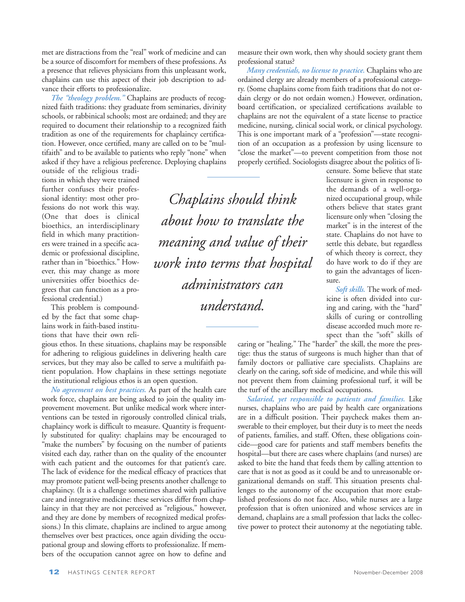met are distractions from the "real" work of medicine and can be a source of discomfort for members of these professions. As a presence that relieves physicians from this unpleasant work, chaplains can use this aspect of their job description to advance their efforts to professionalize.

*The "theology problem."* Chaplains are products of recognized faith traditions: they graduate from seminaries, divinity schools, or rabbinical schools; most are ordained; and they are required to document their relationship to a recognized faith tradition as one of the requirements for chaplaincy certification. However, once certified, many are called on to be "multifaith" and to be available to patients who reply "none" when asked if they have a religious preference. Deploying chaplains

outside of the religious traditions in which they were trained further confuses their professional identity: most other professions do not work this way. (One that does is clinical bioethics, an interdisciplinary field in which many practitioners were trained in a specific academic or professional discipline, rather than in "bioethics." However, this may change as more universities offer bioethics degrees that can function as a professional credential.)

This problem is compounded by the fact that some chaplains work in faith-based institutions that have their own reli-

gious ethos. In these situations, chaplains may be responsible for adhering to religious guidelines in delivering health care services, but they may also be called to serve a multifaith patient population. How chaplains in these settings negotiate the institutional religious ethos is an open question.

*No agreement on best practices.* As part of the health care work force, chaplains are being asked to join the quality improvement movement. But unlike medical work where interventions can be tested in rigorously controlled clinical trials, chaplaincy work is difficult to measure. Quantity is frequently substituted for quality: chaplains may be encouraged to "make the numbers" by focusing on the number of patients visited each day, rather than on the quality of the encounter with each patient and the outcomes for that patient's care. The lack of evidence for the medical efficacy of practices that may promote patient well-being presents another challenge to chaplaincy. (It is a challenge sometimes shared with palliative care and integrative medicine: these services differ from chaplaincy in that they are not perceived as "religious," however, and they are done by members of recognized medical professions.) In this climate, chaplains are inclined to argue among themselves over best practices, once again dividing the occupational group and slowing efforts to professionalize. If members of the occupation cannot agree on how to define and

measure their own work, then why should society grant them professional status?

*Many credentials, no license to practice.* Chaplains who are ordained clergy are already members of a professional category. (Some chaplains come from faith traditions that do not ordain clergy or do not ordain women.) However, ordination, board certification, or specialized certifications available to chaplains are not the equivalent of a state license to practice medicine, nursing, clinical social work, or clinical psychology. This is one important mark of a "profession"—state recognition of an occupation as a profession by using licensure to "close the market"—to prevent competition from those not properly certified. Sociologists disagree about the politics of li-

*Chaplains should think about how to translate the meaning and value of their work into terms that hospital administrators can understand.*

censure. Some believe that state licensure is given in response to the demands of a well-organized occupational group, while others believe that states grant licensure only when "closing the market" is in the interest of the state. Chaplains do not have to settle this debate, but regardless of which theory is correct, they do have work to do if they are to gain the advantages of licensure.

*Soft skills.* The work of medicine is often divided into curing and caring, with the "hard" skills of curing or controlling disease accorded much more respect than the "soft" skills of

caring or "healing." The "harder" the skill, the more the prestige: thus the status of surgeons is much higher than that of family doctors or palliative care specialists. Chaplains are clearly on the caring, soft side of medicine, and while this will not prevent them from claiming professional turf, it will be the turf of the ancillary medical occupations.

*Salaried, yet responsible to patients and families.* Like nurses, chaplains who are paid by health care organizations are in a difficult position. Their paycheck makes them answerable to their employer, but their duty is to meet the needs of patients, families, and staff. Often, these obligations coincide—good care for patients and staff members benefits the hospital—but there are cases where chaplains (and nurses) are asked to bite the hand that feeds them by calling attention to care that is not as good as it could be and to unreasonable organizational demands on staff. This situation presents challenges to the autonomy of the occupation that more established professions do not face. Also, while nurses are a large profession that is often unionized and whose services are in demand, chaplains are a small profession that lacks the collective power to protect their autonomy at the negotiating table.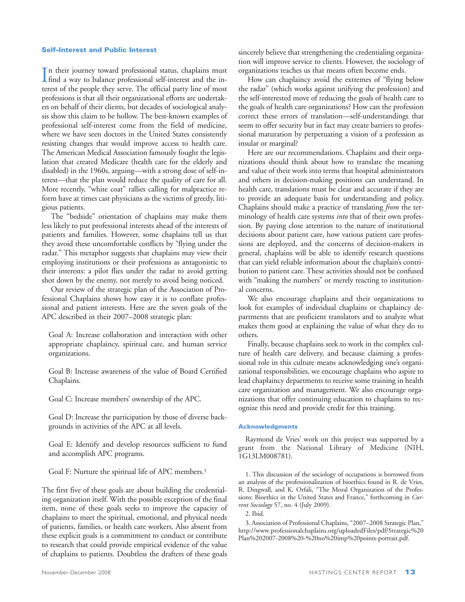#### Self-Interest and Public Interest

In their journey toward professional status, chaplains must<br>find a way to balance professional self-interest and the inn their journey toward professional status, chaplains must terest of the people they serve. The official party line of most professions is that all their organizational efforts are undertaken on behalf of their clients, but decades of sociological analysis show this claim to be hollow. The best-known examples of professional self-interest come from the field of medicine, where we have seen doctors in the United States consistently resisting changes that would improve access to health care. The American Medical Association famously fought the legislation that created Medicare (health care for the elderly and disabled) in the 1960s, arguing—with a strong dose of self-interest—that the plan would reduce the quality of care for all. More recently, "white coat" rallies calling for malpractice reform have at times cast physicians as the victims of greedy, litigious patients.

The "bedside" orientation of chaplains may make them less likely to put professional interests ahead of the interests of patients and families. However, some chaplains tell us that they avoid these uncomfortable conflicts by "flying under the radar." This metaphor suggests that chaplains may view their employing institutions or their professions as antagonistic to their interests: a pilot flies under the radar to avoid getting shot down by the enemy, not merely to avoid being noticed.

Our review of the strategic plan of the Association of Professional Chaplains shows how easy it is to conflate professional and patient interests. Here are the seven goals of the APC described in their 2007–2008 strategic plan:

Goal A: Increase collaboration and interaction with other appropriate chaplaincy, spiritual care, and human service organizations.

Goal B: Increase awareness of the value of Board Certified Chaplains.

Goal C: Increase members' ownership of the APC.

Goal D: Increase the participation by those of diverse backgrounds in activities of the APC at all levels.

Goal E: Identify and develop resources sufficient to fund and accomplish APC programs.

Goal F: Nurture the spiritual life of APC members.<sup>3</sup>

The first five of these goals are about building the credentialing organization itself. With the possible exception of the final item, none of these goals seeks to improve the capacity of chaplains to meet the spiritual, emotional, and physical needs of patients, families, or health care workers. Also absent from these explicit goals is a commitment to conduct or contribute to research that could provide empirical evidence of the value of chaplains to patients. Doubtless the drafters of these goals sincerely believe that strengthening the credentialing organization will improve service to clients. However, the sociology of organizations teaches us that means often become ends.

How can chaplaincy avoid the extremes of "flying below the radar" (which works against unifying the profession) and the self-interested move of reducing the goals of health care to the goals of health care organizations? How can the profession correct these errors of translation—self-understandings that seem to offer security but in fact may create barriers to professional maturation by perpetuating a vision of a profession as insular or marginal?

Here are our recommendations. Chaplains and their organizations should think about how to translate the meaning and value of their work into terms that hospital administrators and others in decision-making positions can understand. In health care, translations must be clear and accurate if they are to provide an adequate basis for understanding and policy. Chaplains should make a practice of translating *from* the terminology of health care systems *into* that of their own profession. By paying close attention to the nature of institutional decisions about patient care, how various patient care professions are deployed, and the concerns of decision-makers in general, chaplains will be able to identify research questions that can yield reliable information about the chaplain's contribution to patient care. These activities should not be confused with "making the numbers" or merely reacting to institutional concerns.

We also encourage chaplains and their organizations to look for examples of individual chaplains or chaplaincy departments that are proficient translators and to analyze what makes them good at explaining the value of what they do to others.

Finally, because chaplains seek to work in the complex culture of health care delivery, and because claiming a professional role in this culture means acknowledging one's organizational responsibilities, we encourage chaplains who aspire to lead chaplaincy departments to receive some training in health care organization and management. We also encourage organizations that offer continuing education to chaplains to recognize this need and provide credit for this training.

#### **Acknowledgments**

Raymond de Vries' work on this project was supported by a grant from the National Library of Medicine (NIH, 1G13LM008781).

1. This discussion of the sociology of occupations is borrowed from an analysis of the professionalization of bioethics found in R. de Vries, R. Dingwall, and K. Orfali, "The Moral Organization of the Professions: Bioethics in the United States and France," forthcoming in *Current Sociology* 57, no. 4 (July 2009).

3. Association of Professional Chaplains, "2007–2008 Strategic Plan," http://www.professionalchaplains.org/uploadedFiles/pdf/Strategic%20 Plan%202007-2008%20-%20no%20imp%20points-portrait.pdf.

<sup>2.</sup> Ibid.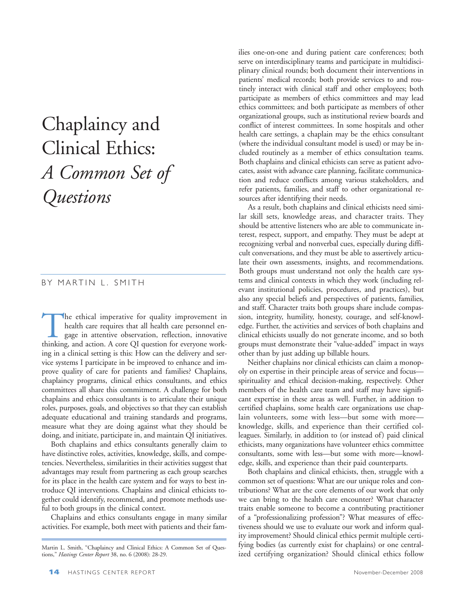### Chaplaincy and Clinical Ethics: *A Common Set of Questions*

#### BY MARTIN L. SMITH

The ethical imperative for quality improvement in health care requires that all health care personnel engage in attentive observation, reflection, innovative thinking, and action. A core QI question for everyone working in a clinical setting is this: How can the delivery and service systems I participate in be improved to enhance and improve quality of care for patients and families? Chaplains, chaplaincy programs, clinical ethics consultants, and ethics committees all share this commitment. A challenge for both chaplains and ethics consultants is to articulate their unique roles, purposes, goals, and objectives so that they can establish adequate educational and training standards and programs, measure what they are doing against what they should be doing, and initiate, participate in, and maintain QI initiatives.

Both chaplains and ethics consultants generally claim to have distinctive roles, activities, knowledge, skills, and competencies. Nevertheless, similarities in their activities suggest that advantages may result from partnering as each group searches for its place in the health care system and for ways to best introduce QI interventions. Chaplains and clinical ethicists together could identify, recommend, and promote methods useful to both groups in the clinical context.

Chaplains and ethics consultants engage in many similar activities. For example, both meet with patients and their families one-on-one and during patient care conferences; both serve on interdisciplinary teams and participate in multidisciplinary clinical rounds; both document their interventions in patients' medical records; both provide services to and routinely interact with clinical staff and other employees; both participate as members of ethics committees and may lead ethics committees; and both participate as members of other organizational groups, such as institutional review boards and conflict of interest committees. In some hospitals and other health care settings, a chaplain may be the ethics consultant (where the individual consultant model is used) or may be included routinely as a member of ethics consultation teams. Both chaplains and clinical ethicists can serve as patient advocates, assist with advance care planning, facilitate communication and reduce conflicts among various stakeholders, and refer patients, families, and staff to other organizational resources after identifying their needs.

As a result, both chaplains and clinical ethicists need similar skill sets, knowledge areas, and character traits. They should be attentive listeners who are able to communicate interest, respect, support, and empathy. They must be adept at recognizing verbal and nonverbal cues, especially during difficult conversations, and they must be able to assertively articulate their own assessments, insights, and recommendations. Both groups must understand not only the health care systems and clinical contexts in which they work (including relevant institutional policies, procedures, and practices), but also any special beliefs and perspectives of patients, families, and staff. Character traits both groups share include compassion, integrity, humility, honesty, courage, and self-knowledge. Further, the activities and services of both chaplains and clinical ethicists usually do not generate income, and so both groups must demonstrate their "value-added" impact in ways other than by just adding up billable hours.

Neither chaplains nor clinical ethicists can claim a monopoly on expertise in their principle areas of service and focus spirituality and ethical decision-making, respectively. Other members of the health care team and staff may have significant expertise in these areas as well. Further, in addition to certified chaplains, some health care organizations use chaplain volunteers, some with less—but some with more knowledge, skills, and experience than their certified colleagues. Similarly, in addition to (or instead of) paid clinical ethicists, many organizations have volunteer ethics committee consultants, some with less—but some with more—knowledge, skills, and experience than their paid counterparts.

Both chaplains and clinical ethicists, then, struggle with a common set of questions: What are our unique roles and contributions? What are the core elements of our work that only we can bring to the health care encounter? What character traits enable someone to become a contributing practitioner of a "professionalizing profession"? What measures of effectiveness should we use to evaluate our work and inform quality improvement? Should clinical ethics permit multiple certifying bodies (as currently exist for chaplains) or one centralized certifying organization? Should clinical ethics follow

Martin L. Smith, "Chaplaincy and Clinical Ethics: A Common Set of Questions," *Hastings Center Report* 38, no. 6 (2008): 28-29.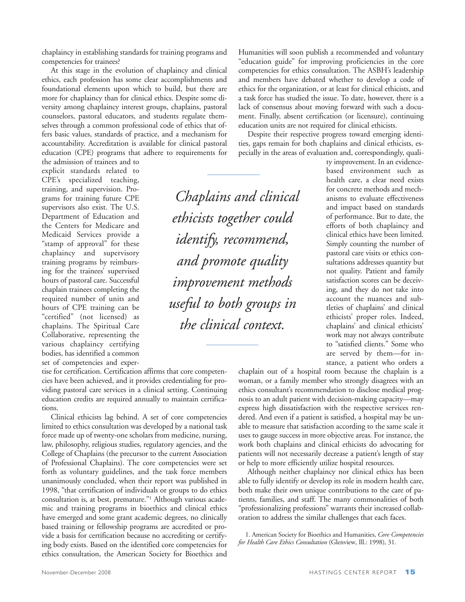chaplaincy in establishing standards for training programs and competencies for trainees?

At this stage in the evolution of chaplaincy and clinical ethics, each profession has some clear accomplishments and foundational elements upon which to build, but there are more for chaplaincy than for clinical ethics. Despite some diversity among chaplaincy interest groups, chaplains, pastoral counselors, pastoral educators, and students regulate themselves through a common professional code of ethics that offers basic values, standards of practice, and a mechanism for accountability. Accreditation is available for clinical pastoral education (CPE) programs that adhere to requirements for

the admission of trainees and to explicit standards related to CPE's specialized teaching, training, and supervision. Programs for training future CPE supervisors also exist. The U.S. Department of Education and the Centers for Medicare and Medicaid Services provide a "stamp of approval" for these chaplaincy and supervisory training programs by reimbursing for the trainees' supervised hours of pastoral care. Successful chaplain trainees completing the required number of units and hours of CPE training can be "certified" (not licensed) as chaplains. The Spiritual Care Collaborative, representing the various chaplaincy certifying bodies, has identified a common set of competencies and exper-

tise for certification. Certification affirms that core competencies have been achieved, and it provides credentialing for providing pastoral care services in a clinical setting. Continuing education credits are required annually to maintain certifications.

Clinical ethicists lag behind. A set of core competencies limited to ethics consultation was developed by a national task force made up of twenty-one scholars from medicine, nursing, law, philosophy, religious studies, regulatory agencies, and the College of Chaplains (the precursor to the current Association of Professional Chaplains). The core competencies were set forth as voluntary guidelines, and the task force members unanimously concluded, when their report was published in 1998, "that certification of individuals or groups to do ethics consultation is, at best, premature."1 Although various academic and training programs in bioethics and clinical ethics have emerged and some grant academic degrees, no clinically based training or fellowship programs are accredited or provide a basis for certification because no accrediting or certifying body exists. Based on the identified core competencies for ethics consultation, the American Society for Bioethics and

Humanities will soon publish a recommended and voluntary "education guide" for improving proficiencies in the core competencies for ethics consultation. The ASBH's leadership and members have debated whether to develop a code of ethics for the organization, or at least for clinical ethicists, and a task force has studied the issue. To date, however, there is a lack of consensus about moving forward with such a document. Finally, absent certification (or licensure), continuing education units are not required for clinical ethicists.

Despite their respective progress toward emerging identities, gaps remain for both chaplains and clinical ethicists, especially in the areas of evaluation and, correspondingly, quali-

*Chaplains and clinical ethicists together could identify, recommend, and promote quality improvement methods useful to both groups in the clinical context.*

ty improvement. In an evidencebased environment such as health care, a clear need exists for concrete methods and mechanisms to evaluate effectiveness and impact based on standards of performance. But to date, the efforts of both chaplaincy and clinical ethics have been limited. Simply counting the number of pastoral care visits or ethics consultations addresses quantity but not quality. Patient and family satisfaction scores can be deceiving, and they do not take into account the nuances and subtleties of chaplains' and clinical ethicists' proper roles. Indeed, chaplains' and clinical ethicists' work may not always contribute to "satisfied clients." Some who are served by them—for instance, a patient who orders a

chaplain out of a hospital room because the chaplain is a woman, or a family member who strongly disagrees with an ethics consultant's recommendation to disclose medical prognosis to an adult patient with decision-making capacity—may express high dissatisfaction with the respective services rendered. And even if a patient is satisfied, a hospital may be unable to measure that satisfaction according to the same scale it uses to gauge success in more objective areas. For instance, the work both chaplains and clinical ethicists do advocating for patients will not necessarily decrease a patient's length of stay or help to more efficiently utilize hospital resources.

Although neither chaplaincy nor clinical ethics has been able to fully identify or develop its role in modern health care, both make their own unique contributions to the care of patients, families, and staff. The many commonalities of both "professionalizing professions" warrants their increased collaboration to address the similar challenges that each faces.

1. American Society for Bioethics and Humanities, *Core Competencies for Health Care Ethics Consultation* (Glenview, Ill.: 1998), 31.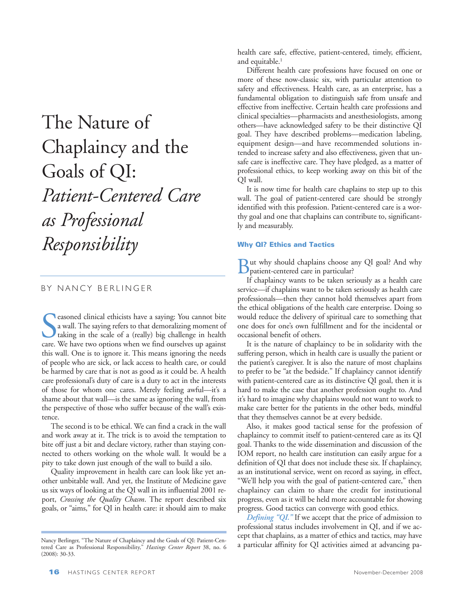## The Nature of Chaplaincy and the Goals of QI: *Patient-Centered Care as Professional Responsibility*

#### BY NANCY BERLINGER

Care assoned clinical ethicists have a saying: You cannot bite<br>a wall. The saying refers to that demoralizing moment of<br>taking in the scale of a (really) big challenge in health<br>care. We have two options when we find ourse easoned clinical ethicists have a saying: You cannot bite a wall. The saying refers to that demoralizing moment of taking in the scale of a (really) big challenge in health this wall. One is to ignore it. This means ignoring the needs of people who are sick, or lack access to health care, or could be harmed by care that is not as good as it could be. A health care professional's duty of care is a duty to act in the interests of those for whom one cares. Merely feeling awful—it's a shame about that wall—is the same as ignoring the wall, from the perspective of those who suffer because of the wall's existence.

The second is to be ethical. We can find a crack in the wall and work away at it. The trick is to avoid the temptation to bite off just a bit and declare victory, rather than staying connected to others working on the whole wall. It would be a pity to take down just enough of the wall to build a silo.

Quality improvement in health care can look like yet another unbitable wall. And yet, the Institute of Medicine gave us six ways of looking at the QI wall in its influential 2001 report, *Crossing the Quality Chasm*. The report described six goals, or "aims," for QI in health care: it should aim to make

health care safe, effective, patient-centered, timely, efficient, and equitable.1

Different health care professions have focused on one or more of these now-classic six, with particular attention to safety and effectiveness. Health care, as an enterprise, has a fundamental obligation to distinguish safe from unsafe and effective from ineffective. Certain health care professions and clinical specialties—pharmacists and anesthesiologists, among others—have acknowledged safety to be their distinctive QI goal. They have described problems—medication labeling, equipment design—and have recommended solutions intended to increase safety and also effectiveness, given that unsafe care is ineffective care. They have pledged, as a matter of professional ethics, to keep working away on this bit of the QI wall.

It is now time for health care chaplains to step up to this wall. The goal of patient-centered care should be strongly identified with this profession. Patient-centered care is a worthy goal and one that chaplains can contribute to, significantly and measurably.

#### Why QI? Ethics and Tactics

But why should chaplains choose any QI goal? And why patient-centered care in particular?

If chaplaincy wants to be taken seriously as a health care service—if chaplains want to be taken seriously as health care professionals—then they cannot hold themselves apart from the ethical obligations of the health care enterprise. Doing so would reduce the delivery of spiritual care to something that one does for one's own fulfillment and for the incidental or occasional benefit of others.

It is the nature of chaplaincy to be in solidarity with the suffering person, which in health care is usually the patient or the patient's caregiver. It is also the nature of most chaplains to prefer to be "at the bedside." If chaplaincy cannot identify with patient-centered care as its distinctive QI goal, then it is hard to make the case that another profession ought to. And it's hard to imagine why chaplains would not want to work to make care better for the patients in the other beds, mindful that they themselves cannot be at every bedside.

Also, it makes good tactical sense for the profession of chaplaincy to commit itself to patient-centered care as its QI goal. Thanks to the wide dissemination and discussion of the IOM report, no health care institution can easily argue for a definition of QI that does not include these six. If chaplaincy, as an institutional service, went on record as saying, in effect, "We'll help you with the goal of patient-centered care," then chaplaincy can claim to share the credit for institutional progress, even as it will be held more accountable for showing progress. Good tactics can converge with good ethics.

*Defining "QI."* If we accept that the price of admission to professional status includes involvement in QI, and if we accept that chaplains, as a matter of ethics and tactics, may have a particular affinity for QI activities aimed at advancing pa-

Nancy Berlinger, "The Nature of Chaplaincy and the Goals of QI: Patient-Centered Care as Professional Responsibility," *Hastings Center Report* 38, no. 6 (2008): 30-33.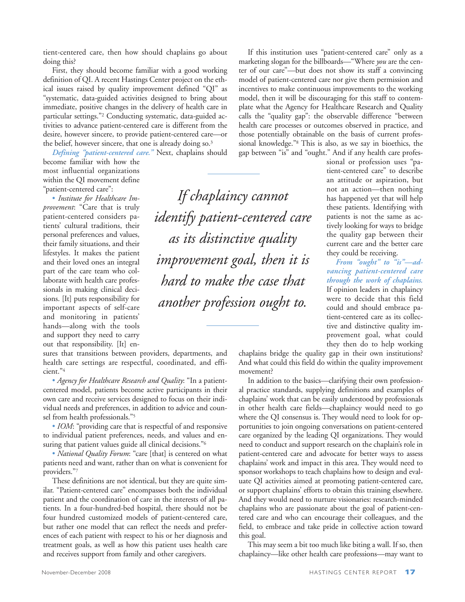tient-centered care, then how should chaplains go about doing this?

First, they should become familiar with a good working definition of QI. A recent Hastings Center project on the ethical issues raised by quality improvement defined "QI" as "systematic, data-guided activities designed to bring about immediate, positive changes in the delivery of health care in particular settings."2 Conducting systematic, data-guided activities to advance patient-centered care is different from the desire, however sincere, to provide patient-centered care—or the belief, however sincere, that one is already doing so.3

*Defining "patient-centered care."* Next, chaplains should become familiar with how the

most influential organizations within the QI movement define "patient-centered care":

• *Institute for Healthcare Improvement*: "Care that is truly patient-centered considers patients' cultural traditions, their personal preferences and values, their family situations, and their lifestyles. It makes the patient and their loved ones an integral part of the care team who collaborate with health care professionals in making clinical decisions. [It] puts responsibility for important aspects of self-care and monitoring in patients' hands—along with the tools and support they need to carry out that responsibility. [It] en-

sures that transitions between providers, departments, and health care settings are respectful, coordinated, and efficient."4

• *Agency for Healthcare Research and Quality*: "In a patientcentered model, patients become active participants in their own care and receive services designed to focus on their individual needs and preferences, in addition to advice and counsel from health professionals."5

• *IOM*: "providing care that is respectful of and responsive to individual patient preferences, needs, and values and ensuring that patient values guide all clinical decisions."<sup>6</sup>

• *National Quality Forum*: "care [that] is centered on what patients need and want, rather than on what is convenient for providers."7

These definitions are not identical, but they are quite similar. "Patient-centered care" encompasses both the individual patient and the coordination of care in the interests of all patients. In a four-hundred-bed hospital, there should not be four hundred customized models of patient-centered care, but rather one model that can reflect the needs and preferences of each patient with respect to his or her diagnosis and treatment goals, as well as how this patient uses health care and receives support from family and other caregivers.

model of patient-centered care nor give them permission and incentives to make continuous improvements to the working model, then it will be discouraging for this staff to contemplate what the Agency for Healthcare Research and Quality calls the "quality gap": the observable difference "between health care processes or outcomes observed in practice, and those potentially obtainable on the basis of current professional knowledge."8 This is also, as we say in bioethics, the gap between "is" and "ought." And if any health care professional or profession uses "pa-

If this institution uses "patient-centered care" only as a marketing slogan for the billboards—"Where *you* are the center of our care"—but does not show its staff a convincing

> tient-centered care" to describe an attitude or aspiration, but not an action—then nothing has happened yet that will help these patients. Identifying with patients is not the same as actively looking for ways to bridge the quality gap between their current care and the better care they could be receiving.

> *From "ought" to "is"—advancing patient-centered care through the work of chaplains.* If opinion leaders in chaplaincy were to decide that this field could and should embrace patient-centered care as its collective and distinctive quality improvement goal, what could they then do to help working

chaplains bridge the quality gap in their own institutions? And what could this field do within the quality improvement movement?

In addition to the basics—clarifying their own professional practice standards, supplying definitions and examples of chaplains' work that can be easily understood by professionals in other health care fields—chaplaincy would need to go where the QI consensus is. They would need to look for opportunities to join ongoing conversations on patient-centered care organized by the leading QI organizations. They would need to conduct and support research on the chaplain's role in patient-centered care and advocate for better ways to assess chaplains' work and impact in this area. They would need to sponsor workshops to teach chaplains how to design and evaluate QI activities aimed at promoting patient-centered care, or support chaplains' efforts to obtain this training elsewhere. And they would need to nurture visionaries: research-minded chaplains who are passionate about the goal of patient-centered care and who can encourage their colleagues, and the field, to embrace and take pride in collective action toward this goal.

This may seem a bit too much like biting a wall. If so, then chaplaincy—like other health care professions—may want to

*If chaplaincy cannot identify patient-centered care as its distinctive quality improvement goal, then it is hard to make the case that another profession ought to.*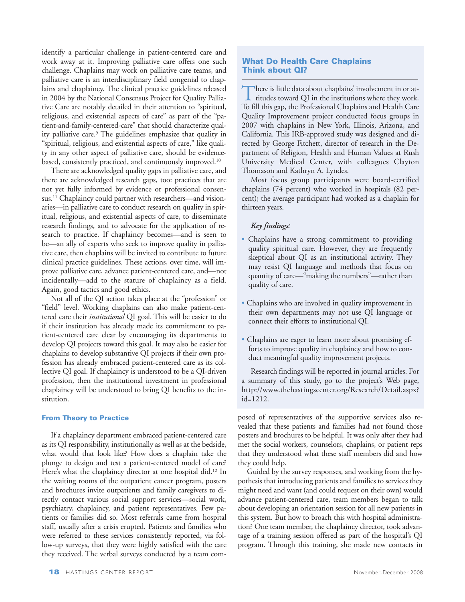identify a particular challenge in patient-centered care and work away at it. Improving palliative care offers one such challenge. Chaplains may work on palliative care teams, and palliative care is an interdisciplinary field congenial to chaplains and chaplaincy. The clinical practice guidelines released in 2004 by the National Consensus Project for Quality Palliative Care are notably detailed in their attention to "spiritual, religious, and existential aspects of care" as part of the "patient-and-family-centered-care" that should characterize quality palliative care.9 The guidelines emphasize that quality in "spiritual, religious, and existential aspects of care," like quality in any other aspect of palliative care, should be evidencebased, consistently practiced, and continuously improved.10

There are acknowledged quality gaps in palliative care, and there are acknowledged research gaps, too: practices that are not yet fully informed by evidence or professional consensus.11 Chaplaincy could partner with researchers—and visionaries—in palliative care to conduct research on quality in spiritual, religious, and existential aspects of care, to disseminate research findings, and to advocate for the application of research to practice. If chaplaincy becomes—and is seen to be—an ally of experts who seek to improve quality in palliative care, then chaplains will be invited to contribute to future clinical practice guidelines. These actions, over time, will improve palliative care, advance patient-centered care, and—not incidentally—add to the stature of chaplaincy as a field. Again, good tactics and good ethics.

Not all of the QI action takes place at the "profession" or "field" level. Working chaplains can also make patient-centered care their *institutional* QI goal. This will be easier to do if their institution has already made its commitment to patient-centered care clear by encouraging its departments to develop QI projects toward this goal. It may also be easier for chaplains to develop substantive QI projects if their own profession has already embraced patient-centered care as its collective QI goal. If chaplaincy is understood to be a QI-driven profession, then the institutional investment in professional chaplaincy will be understood to bring QI benefits to the institution.

#### From Theory to Practice

If a chaplaincy department embraced patient-centered care as its QI responsibility, institutionally as well as at the bedside, what would that look like? How does a chaplain take the plunge to design and test a patient-centered model of care? Here's what the chaplaincy director at one hospital did.<sup>12</sup> In the waiting rooms of the outpatient cancer program, posters and brochures invite outpatients and family caregivers to directly contact various social support services—social work, psychiatry, chaplaincy, and patient representatives. Few patients or families did so. Most referrals came from hospital staff, usually after a crisis erupted. Patients and families who were referred to these services consistently reported, via follow-up surveys, that they were highly satisfied with the care they received. The verbal surveys conducted by a team com-

#### What Do Health Care Chaplains Think about QI?

There is little data about chaplains' involvement in or at- $\perp$  titudes toward QI in the institutions where they work. To fill this gap, the Professional Chaplains and Health Care Quality Improvement project conducted focus groups in 2007 with chaplains in New York, Illinois, Arizona, and California. This IRB-approved study was designed and directed by George Fitchett, director of research in the Department of Religion, Health and Human Values at Rush University Medical Center, with colleagues Clayton Thomason and Kathryn A. Lyndes.

Most focus group participants were board-certified chaplains (74 percent) who worked in hospitals (82 percent); the average participant had worked as a chaplain for thirteen years.

#### *Key findings:*

- Chaplains have a strong commitment to providing quality spiritual care. However, they are frequently skeptical about QI as an institutional activity. They may resist QI language and methods that focus on quantity of care—"making the numbers"—rather than quality of care.
- Chaplains who are involved in quality improvement in their own departments may not use QI language or connect their efforts to institutional QI.
- Chaplains are eager to learn more about promising efforts to improve quality in chaplaincy and how to conduct meaningful quality improvement projects.

Research findings will be reported in journal articles. For a summary of this study, go to the project's Web page, http://www.thehastingscenter.org/Research/Detail.aspx? id=1212.

posed of representatives of the supportive services also revealed that these patients and families had not found those posters and brochures to be helpful. It was only after they had met the social workers, counselors, chaplains, or patient reps that they understood what these staff members did and how they could help.

Guided by the survey responses, and working from the hypothesis that introducing patients and families to services they might need and want (and could request on their own) would advance patient-centered care, team members began to talk about developing an orientation session for all new patients in this system. But how to broach this with hospital administration? One team member, the chaplaincy director, took advantage of a training session offered as part of the hospital's QI program. Through this training, she made new contacts in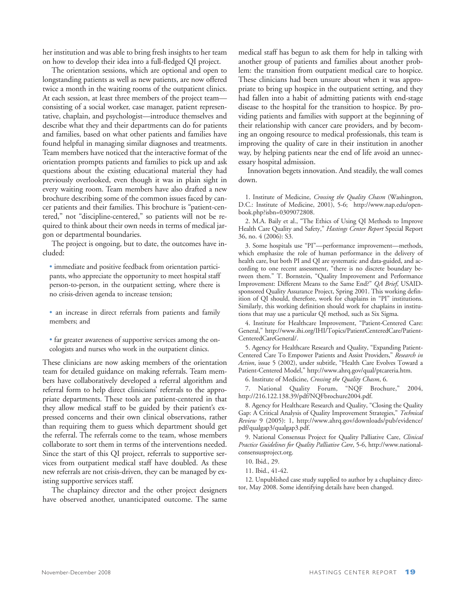her institution and was able to bring fresh insights to her team on how to develop their idea into a full-fledged QI project.

The orientation sessions, which are optional and open to longstanding patients as well as new patients, are now offered twice a month in the waiting rooms of the outpatient clinics. At each session, at least three members of the project team consisting of a social worker, case manager, patient representative, chaplain, and psychologist—introduce themselves and describe what they and their departments can do for patients and families, based on what other patients and families have found helpful in managing similar diagnoses and treatments. Team members have noticed that the interactive format of the orientation prompts patients and families to pick up and ask questions about the existing educational material they had previously overlooked, even though it was in plain sight in every waiting room. Team members have also drafted a new brochure describing some of the common issues faced by cancer patients and their families. This brochure is "patient-centered," not "discipline-centered," so patients will not be required to think about their own needs in terms of medical jargon or departmental boundaries.

The project is ongoing, but to date, the outcomes have included:

• immediate and positive feedback from orientation participants, who appreciate the opportunity to meet hospital staff person-to-person, in the outpatient setting, where there is no crisis-driven agenda to increase tension;

• an increase in direct referrals from patients and family members; and

• far greater awareness of supportive services among the oncologists and nurses who work in the outpatient clinics.

These clinicians are now asking members of the orientation team for detailed guidance on making referrals. Team members have collaboratively developed a referral algorithm and referral form to help direct clinicians' referrals to the appropriate departments. These tools are patient-centered in that they allow medical staff to be guided by their patient's expressed concerns and their own clinical observations, rather than requiring them to guess which department should get the referral. The referrals come to the team, whose members collaborate to sort them in terms of the interventions needed. Since the start of this QI project, referrals to supportive services from outpatient medical staff have doubled. As these new referrals are not crisis-driven, they can be managed by existing supportive services staff.

The chaplaincy director and the other project designers have observed another, unanticipated outcome. The same

medical staff has begun to ask them for help in talking with another group of patients and families about another problem: the transition from outpatient medical care to hospice. These clinicians had been unsure about when it was appropriate to bring up hospice in the outpatient setting, and they had fallen into a habit of admitting patients with end-stage disease to the hospital for the transition to hospice. By providing patients and families with support at the beginning of their relationship with cancer care providers, and by becoming an ongoing resource to medical professionals, this team is improving the quality of care in their institution in another way, by helping patients near the end of life avoid an unnecessary hospital admission.

Innovation begets innovation. And steadily, the wall comes down.

1. Institute of Medicine, *Crossing the Quality Chasm* (Washington, D.C.: Institute of Medicine, 2001), 5-6; http://www.nap.edu/openbook.php?isbn=0309072808.

2. M.A. Baily et al., "The Ethics of Using QI Methods to Improve Health Care Quality and Safety," *Hastings Center Report* Special Report 36, no. 4 (2006): S3.

3. Some hospitals use "PI"—performance improvement—methods, which emphasize the role of human performance in the delivery of health care, but both PI and QI are systematic and data-guided, and according to one recent assessment, "there is no discrete boundary between them." T. Bornstein, "Quality Improvement and Performance Improvement: Different Means to the Same End?" *QA Brief*, USAIDsponsored Quality Assurance Project, Spring 2001. This working definition of QI should, therefore, work for chaplains in "PI" institutions. Similarly, this working definition should work for chaplains in institutions that may use a particular QI method, such as Six Sigma.

4. Institute for Healthcare Improvement, "Patient-Centered Care: General," http://www.ihi.org/IHI/Topics/PatientCenteredCare/Patient-CenteredCareGeneral/.

5. Agency for Healthcare Research and Quality, "Expanding Patient-Centered Care To Empower Patients and Assist Providers," *Research in Action*, issue 5 (2002), under subtitle, "Health Care Evolves Toward a Patient-Centered Model," http://www.ahrq.gov/qual/ptcareria.htm.

6. Institute of Medicine, *Crossing the Quality Chasm*, 6.

National Quality Forum, "NQF Brochure," 2004, http://216.122.138.39/pdf/NQFbrochure2004.pdf.

8. Agency for Healthcare Research and Quality, "Closing the Quality Gap: A Critical Analysis of Quality Improvement Strategies," *Technical Review* 9 (2005): 1, http://www.ahrq.gov/downloads/pub/evidence/ pdf/qualgap3/qualgap3.pdf.

9. National Consensus Project for Quality Palliative Care, *Clinical Practice Guidelines for Quality Palliative Care*, 5-6, http://www.nationalconsensusproject.org.

11. Ibid., 41-42.

12. Unpublished case study supplied to author by a chaplaincy director, May 2008. Some identifying details have been changed.

<sup>10.</sup> Ibid., 29.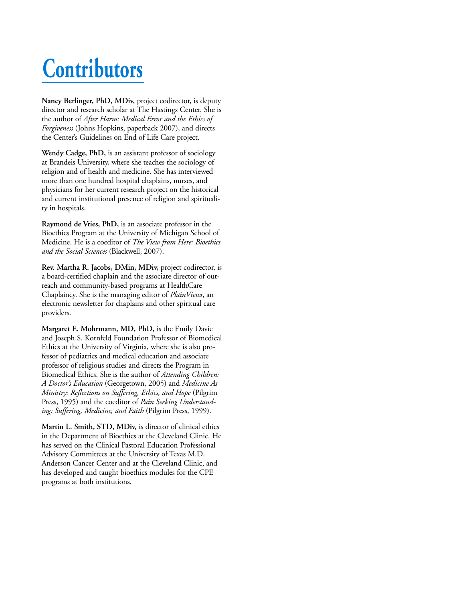# **Contributors**

**Nancy Berlinger, PhD, MDiv,** project codirector, is deputy director and research scholar at The Hastings Center. She is the author of *After Harm: Medical Error and the Ethics of Forgiveness* (Johns Hopkins, paperback 2007), and directs the Center's Guidelines on End of Life Care project.

**Wendy Cadge, PhD,** is an assistant professor of sociology at Brandeis University, where she teaches the sociology of religion and of health and medicine. She has interviewed more than one hundred hospital chaplains, nurses, and physicians for her current research project on the historical and current institutional presence of religion and spirituality in hospitals.

**Raymond de Vries, PhD,** is an associate professor in the Bioethics Program at the University of Michigan School of Medicine. He is a coeditor of *The View from Here: Bioethics and the Social Sciences* (Blackwell, 2007).

**Rev. Martha R. Jacobs, DMin, MDiv,** project codirector, is a board-certified chaplain and the associate director of outreach and community-based programs at HealthCare Chaplaincy. She is the managing editor of *PlainViews*, an electronic newsletter for chaplains and other spiritual care providers.

**Margaret E. Mohrmann, MD, PhD,** is the Emily Davie and Joseph S. Kornfeld Foundation Professor of Biomedical Ethics at the University of Virginia, where she is also professor of pediatrics and medical education and associate professor of religious studies and directs the Program in Biomedical Ethics. She is the author of *Attending Children: A Doctor's Education* (Georgetown, 2005) and *Medicine As Ministry: Reflections on Suffering, Ethics, and Hope* (Pilgrim Press, 1995) and the coeditor of *Pain Seeking Understanding: Suffering, Medicine, and Faith* (Pilgrim Press, 1999).

**Martin L. Smith, STD, MDiv,** is director of clinical ethics in the Department of Bioethics at the Cleveland Clinic. He has served on the Clinical Pastoral Education Professional Advisory Committees at the University of Texas M.D. Anderson Cancer Center and at the Cleveland Clinic, and has developed and taught bioethics modules for the CPE programs at both institutions.